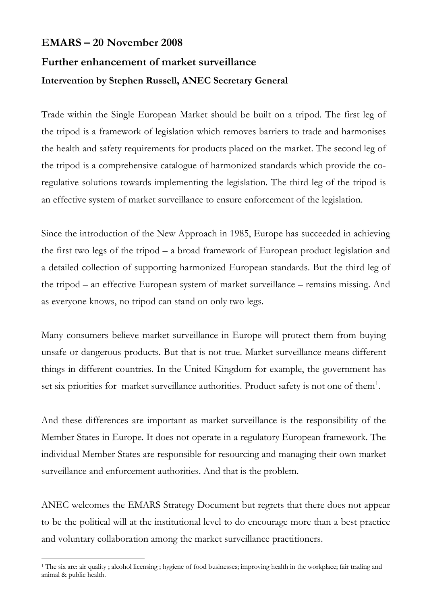## **EMARS – 20 November 2008 Further enhancement of market surveillance Intervention by Stephen Russell, ANEC Secretary General**

Trade within the Single European Market should be built on a tripod. The first leg of the tripod is a framework of legislation which removes barriers to trade and harmonises the health and safety requirements for products placed on the market. The second leg of the tripod is a comprehensive catalogue of harmonized standards which provide the coregulative solutions towards implementing the legislation. The third leg of the tripod is an effective system of market surveillance to ensure enforcement of the legislation.

Since the introduction of the New Approach in 1985, Europe has succeeded in achieving the first two legs of the tripod – a broad framework of European product legislation and a detailed collection of supporting harmonized European standards. But the third leg of the tripod – an effective European system of market surveillance – remains missing. And as everyone knows, no tripod can stand on only two legs.

Many consumers believe market surveillance in Europe will protect them from buying unsafe or dangerous products. But that is not true. Market surveillance means different things in different countries. In the United Kingdom for example, the government has set six priorities for market surveillance authorities. Product safety is not one of them<sup>[1](#page-0-0)</sup>.

And these differences are important as market surveillance is the responsibility of the Member States in Europe. It does not operate in a regulatory European framework. The individual Member States are responsible for resourcing and managing their own market surveillance and enforcement authorities. And that is the problem.

ANEC welcomes the EMARS Strategy Document but regrets that there does not appear to be the political will at the institutional level to do encourage more than a best practice and voluntary collaboration among the market surveillance practitioners.

<span id="page-0-0"></span> $\overline{a}$ 1 The six are: air quality ; alcohol licensing ; hygiene of food businesses; improving health in the workplace; fair trading and animal & public health.